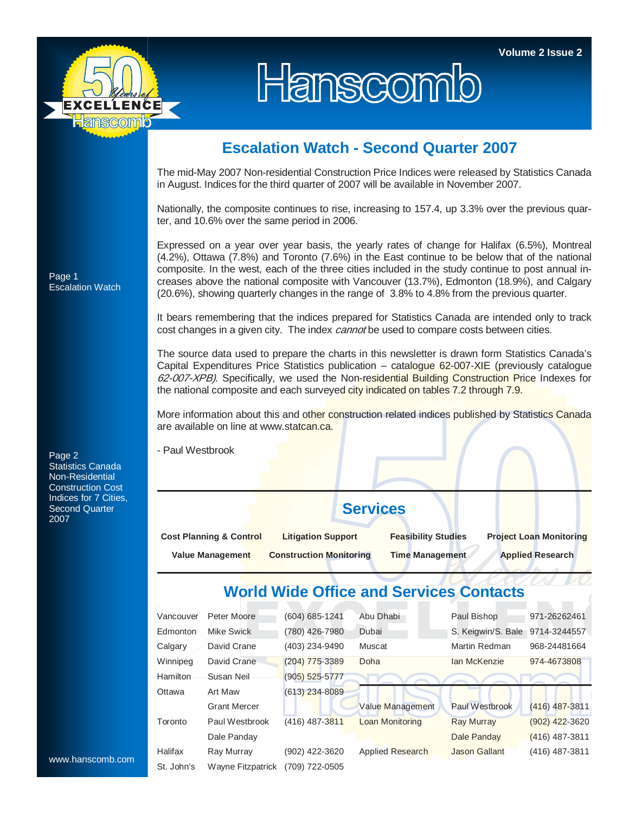

## Hanscomb

## **Escalation Watch - Second Quarter 2007**

The mid-May 2007 Non-residential Construction Price Indices were released by Statistics Canada in August. Indices for the third quarter of 2007 will be available in November 2007.

Nationally, the composite continues to rise, increasing to 157.4, up 3.3% over the previous quarter, and 10.6% over the same period in 2006.

Expressed on a year over year basis, the yearly rates of change for Halifax (6.5%), Montreal (4.2%), Ottawa (7.8%) and Toronto (7.6%) in the East continue to be below that of the national composite. In the west, each of the three cities included in the study continue to post annual increases above the national composite with Vancouver (13.7%), Edmonton (18.9%), and Calgary (20.6%), showing quarterly changes in the range of 3.8% to 4.8% from the previous quarter.

It bears remembering that the indices prepared for Statistics Canada are intended only to track cost changes in a given city. The index *cannot* be used to compare costs between cities.

The source data used to prepare the charts in this newsletter is drawn form Statistics Canada's Capital Expenditures Price Statistics publication – catalogue 62-007-XIE (previously catalogue 62-007-XPB). Specifically, we used the Non-residential Building Construction Price Indexes for the national composite and each surveyed city indicated on tables 7.2 through 7.9.

More information about this and other construction related indices published by Statistics Canada are available on line at www.statcan.ca.

- Paul Westbrook

**Services** 

| <b>Cost Planning &amp; Control</b> | <b>Litigation Support</b>      | <b>Feasibility Studies</b> | <b>Project Loan Monitoring</b> |  |  |
|------------------------------------|--------------------------------|----------------------------|--------------------------------|--|--|
| <b>Value Management</b>            | <b>Construction Monitoring</b> | Time Management            | <b>Applied Research</b>        |  |  |

## **World Wide Office and Services Contacts**

|                  | Vancouver  | Peter Moore         | (604) 685-1241     | Abu Dhabi               | Paul Bishop           | 971-26262461     |
|------------------|------------|---------------------|--------------------|-------------------------|-----------------------|------------------|
|                  | Edmonton   | Mike Swick          | (780) 426-7980     | Dubai                   | S. Keigwin/S. Bale    | 9714-3244557     |
|                  | Calgary    | David Crane         | (403) 234-9490     | Muscat                  | Martin Redman         | 968-24481664     |
|                  | Winnipeg   | David Crane         | $(204)$ 775-3389   | Doha                    | Ian McKenzie          | 974-4673808      |
|                  | Hamilton   | Susan Neil          | $(905) 525 - 5777$ |                         |                       |                  |
|                  | Ottawa     | Art Maw             | $(613)$ 234-8089   |                         |                       |                  |
|                  |            | <b>Grant Mercer</b> |                    | Value Management        | <b>Paul Westbrook</b> | $(416)$ 487-3811 |
|                  | Toronto    | Paul Westbrook      | $(416)$ 487-3811   | <b>Loan Monitoring</b>  | <b>Ray Murray</b>     | $(902)$ 422-3620 |
|                  |            | Dale Panday         |                    |                         | Dale Panday           | $(416)$ 487-3811 |
|                  | Halifax    | Ray Murray          | (902) 422-3620     | <b>Applied Research</b> | <b>Jason Gallant</b>  | (416) 487-3811   |
| www.hanscomb.com | St. John's | Wayne Fitzpatrick   | (709) 722-0505     |                         |                       |                  |

Page 1 Escalation Watch

Page 2 Statistics Canada Non-Residential Construction Cost Indices for 7 Cities, Second Quarter 2007